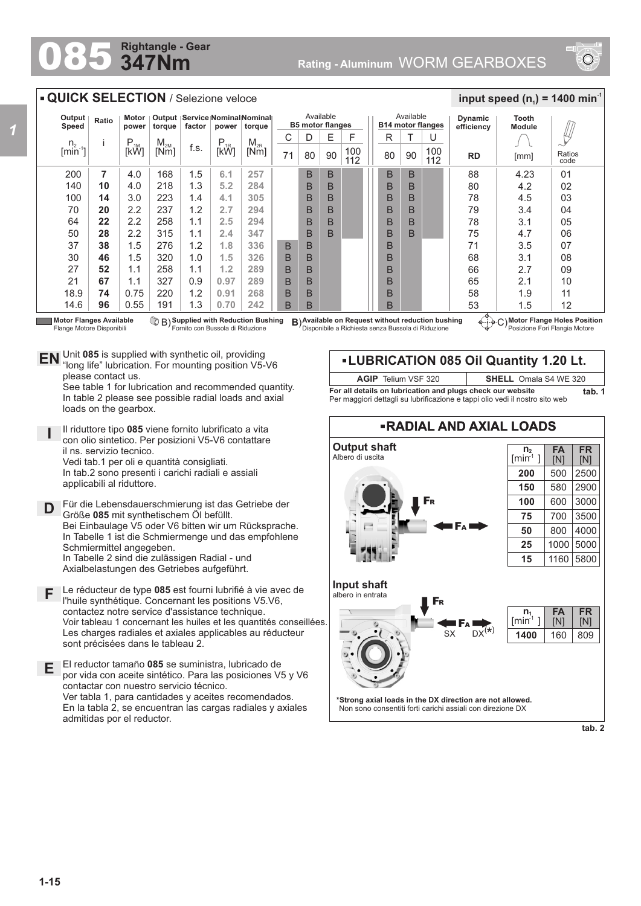## **347Nm Rightangle - Gear**

*1*



## **QUICK SELECTION** / Selezione veloce  $\frac{1}{2}$  **input speed (n**<sub>1</sub>) = 1400 min<sup>-1</sup> Available Available **Output Speed Ratio Motor Output Service Nominal Nominal Dynamic Tooth B5 motor flanges B14 motor flanges factor power torque power torque efficiency Module**  $\psi$  $C$  D U  $E$  | F || R | T i P<br>[kW]  $\begin{array}{c|c|c|c} \mathsf{M}_{\mathsf{2M}} & \mathsf{f.s.} & \mathsf{P}_{\mathsf{1R}} & \mathsf{M}_{\mathsf{2R}} \ \hline \mathsf{[Nm]} & \mathsf{[KW]} & \mathsf{[KW]} \end{array}$ n.  $M_{2M}$ <br>Mml  $[min^{-1}]$ 100 100  $71 | 80$ **RD** [mm] Ratios  $90 \mid 112 \mid \mid 80 \mid 90 \mid 112$ [mm] 112 200 **7** 4.0 168 1.5 B B B B 88 4.23 **6.1 257**  $0<sub>1</sub>$ **10** 4.0 218 **5.2** B B B B 80 4.2 02 140 1.3 **284** 100 **14** 3.0 223 1.4 **4.1** B B B B 78 4.5 03 **305** 70 2.2 237 **2.7 20** 1.2 **294** B B B B 79 3.4 04 **22** 2.2 258 **2.5 294** B B B B 78 05  $64$ 1.1 3.1 50 **28** 2.2 315 **2.4 347** B B B 75 4.7 1.1 B  $\Omega$ 37 1.5 276 **1.8 336** B B 71 3.5 07 **38** 1.2 B 30 **46** 1.5 320 1.0 **1.5 326** B B 08 B 68 3.1 27 **52** 1.1 258 1.1 **1.2 289** B B B 66 2.7 09 21 **67** 1.1 327 0.9 **0.97 289** B B B 65 2.1 10 18.9 **74** 0.75 220 1.2 **0.91 268** B B B 58 1.9 11 14.6 **96** 0.55 191 1.3 **0.70 242** B B B 53 1.5 12 **Motor Flanges Available Supplied with Reduction Bushing** Fornito con Bussola di Riduzione B) **B**) **Available on Request without reduction bushing** Disponibile a Richiesta senza Bussola di Riduzione **Motor Flange Holes Position** C) Posizione Fori Flangia Motore Flange Motore Disponibili Unit **085** is supplied with synthetic oil, providing **EN** Unit 085 is supplied with synthetic oil, providing<br>"long life" lubrication. For mounting position V5-V6 **LUBRICATION 085 Oil Quantity 1.20 Lt.** please contact us. **AGIP** Telium VSF 320 **SHELL** Omala S4 WE 320 See table 1 for lubrication and recommended quantity. **For all details on lubrication and plugs check our website tab. 1** In table 2 please see possible radial loads and axial Per maggiori dettagli su lubrificazione e tappi olio vedi il nostro sito web loads on the gearbox. **RADIAL AND AXIAL LOADS** Il riduttore tipo **085** viene fornito lubrificato a vita **I** con olio sintetico. Per posizioni V5-V6 contattare **Output shaft** il ns. servizio tecnico. **n 2 FA FR** Albero di uscita  $[min^1]$ [N] [N] Vedi tab.1 per oli e quantità consigliati. In tab.2 sono presenti i carichi radiali e assiali **200** 500 2500 applicabili al riduttore. **150** 580 2900 3000 F<sup>R</sup> **100** 600 Für die Lebensdauerschmierung ist das Getriebe der **D** Größe **085** mit synthetischem Öl befüllt. **75** 700 3500 Bei Einbaulage V5 oder V6 bitten wir um Rücksprache. F<sup>A</sup> **50** 800 4000 In Tabelle 1 ist die Schmiermenge und das empfohlene **25** 1000 5000 Schmiermittel angegeben. In Tabelle 2 sind die zulässigen Radial - und **15** 1160 5800 Axialbelastungen des Getriebes aufgeführt. **Input shaft** Le réducteur de type **085** est fourni lubrifié à vie avec de **F** albero in entrata l'huile synthétique. Concernant les positions V5.V6, F<sup>R</sup> contactez notre service d'assistance technique.  $\overline{n_1}$ **FA FR**  $[min^1]$ [N] Voir tableau 1 concernant les huiles et les quantités conseillées. [N] F<sup>A</sup>  $S_X$   $DX^{(*)}$ Les charges radiales et axiales applicables au réducteur **1400** 160 809 sont précisées dans le tableau 2. El reductor tamaño **085** se suministra, lubricado de **E** por vida con aceite sintético. Para las posiciones V5 y V6 contactar con nuestro servicio técnico. Ver tabla 1, para cantidades y aceites recomendados. **\*Strong axial loads in the DX direction are not allowed.** En la tabla 2, se encuentran las cargas radiales y axiales Non sono consentiti forti carichi assiali con direzione DX admitidas por el reductor.